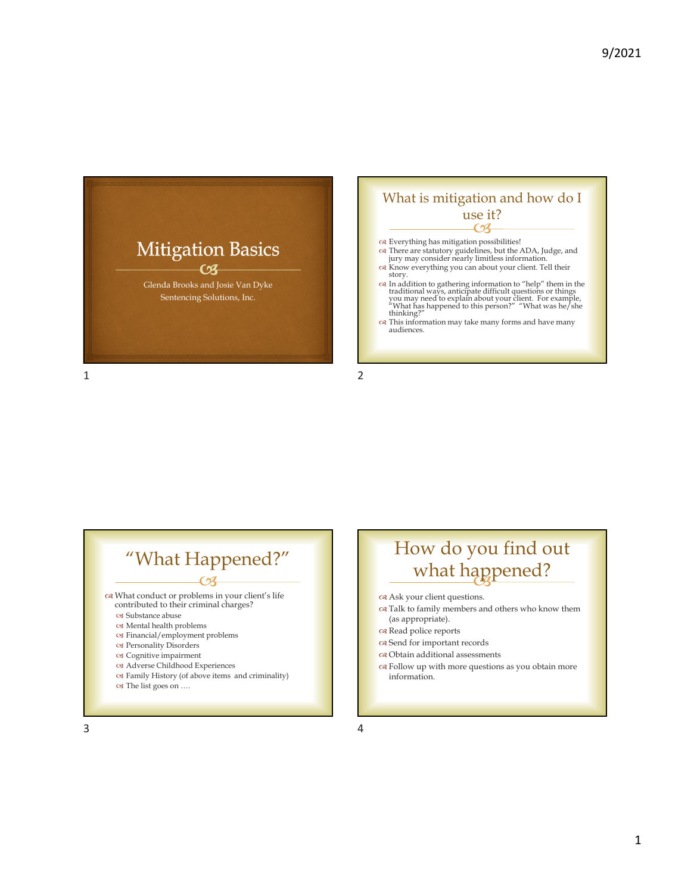



## $\overline{\mathcal{C}}$ "What Happened?"

What conduct or problems in your client's life

- contributed to their criminal charges?
- Substance abuse
- Mental health problems
- Financial/employment problems
- Personality Disorders
- Cognitive impairment
- Adverse Childhood Experiences Family History (of above items and criminality)
- The list goes on ….

### $\partial y$ How do you find out what happened?

Ask your client questions.

- $\bar{\infty}$  Talk to family members and others who know them (as appropriate).
- ca Read police reports
- on Send for important records
- Obtain additional assessments
- Follow up with more questions as you obtain more information.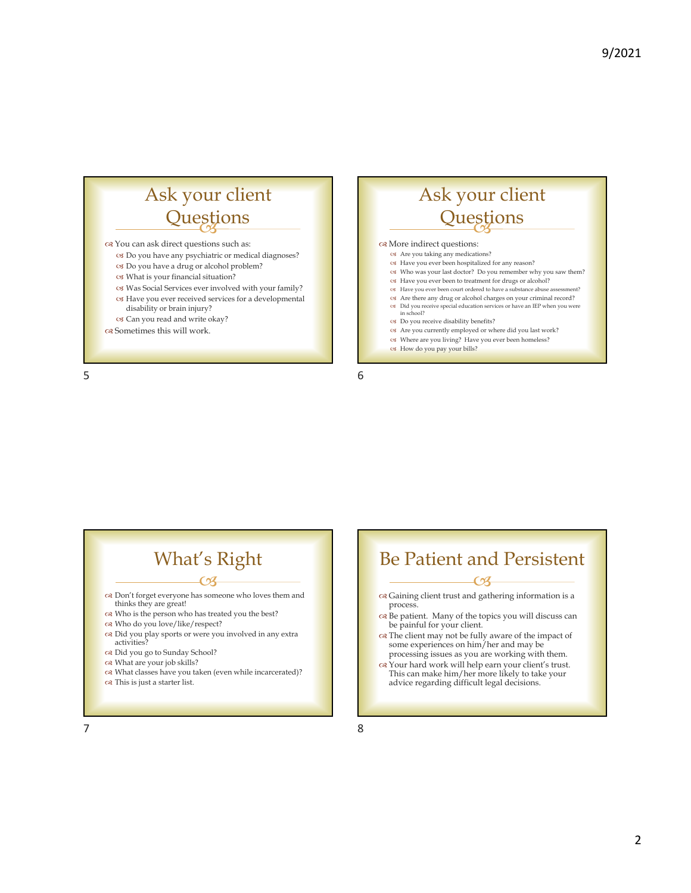# Questions Questions Questions Ask your client

You can ask direct questions such as:

- Do you have any psychiatric or medical diagnoses?
- Do you have a drug or alcohol problem?
- What is your financial situation?
- Was Social Services ever involved with your family?
- Have you ever received services for a developmental disability or brain injury?
- Can you read and write okay?
- Sometimes this will work.

## Ask your client **Questions**

#### on More indirect questions:

- Are you taking any medications?
- Have you ever been hospitalized for any reason? Who was your last doctor? Do you remember why you saw them?
- 
- Have you ever been to treatment for drugs or alcohol? Have you ever been court ordered to have a substance abuse assessment?
- 
- Are there any drug or alcohol charges on your criminal record?
- $\infty$  Did you receive special education services or have an IEP when you were in school?
- Do you receive disability benefits?
- Are you currently employed or where did you last work?
- Where are you living? Have you ever been homeless?
- How do you pay your bills?

 $5<sub>6</sub>$ 

## What's Right

- $-**CA**$  Don't forget everyone has someone who loves them and thinks they are great!
- Who is the person who has treated you the best?
- Who do you love/like/respect?
- Did you play sports or were you involved in any extra activities?
- Did you go to Sunday School?
- What are your job skills?
- What classes have you taken (even while incarcerated)?
- This is just a starter list.

#### $CZ$  Gaining client trust and gathering information is a Be Patient and Persistent

- process.
- Be patient. Many of the topics you will discuss can be painful for your client.
- The client may not be fully aware of the impact of some experiences on him/her and may be processing issues as you are working with them.
- Your hard work will help earn your client's trust. This can make him/her more likely to take your advice regarding difficult legal decisions.

 $7$  8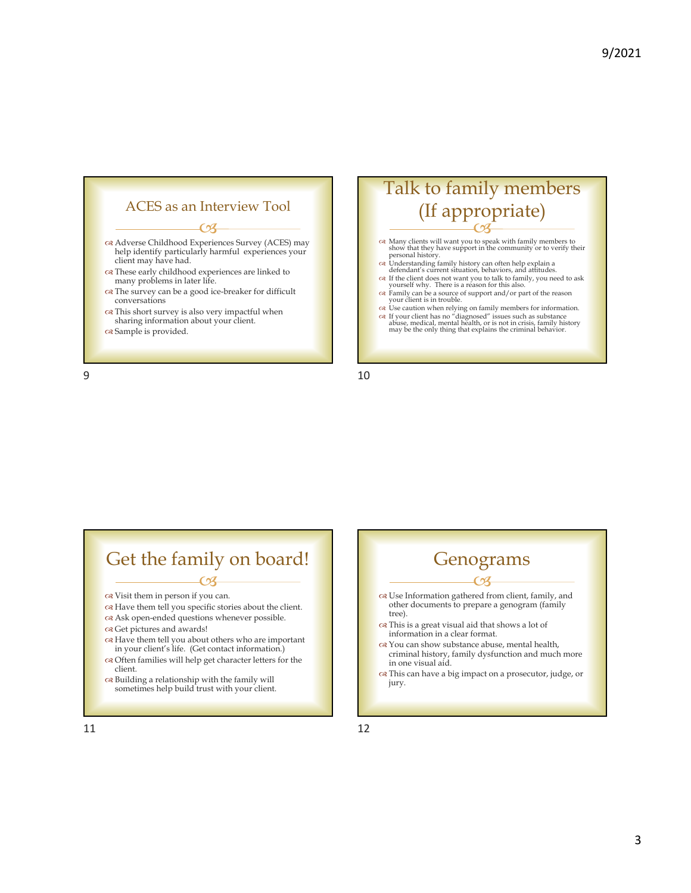

#### 9 10

### $\overline{\mathcal{C}}$ Talk to family members (If appropriate)

- Many clients will want you to speak with family members to show that they have support in the community or to verify their personal history.
- Understanding family history can often help explain a defendant's current situation, behaviors, and attitudes.
- 
- If the client does not want you to talk to family, you need to ask yourself why. There is a reason for this also. Family can be a source of support and/or part of the reason your client is in trouble.
- $\infty$  Use caution when relying on family members for information.<br> $\infty$  If your client has no "diagnosed" issues such as substance abuse, medical, mental health, or is not in crisis, family history may be the only thing t

# Get the family on board!

- $\overline{\mathcal{C}}$ Visit them in person if you can.
- $\alpha$  Have them tell you specific stories about the client.
- $\propto$  Ask open-ended questions whenever possible.
- Get pictures and awards!
- Have them tell you about others who are important in your client's life. (Get contact information.)
- Often families will help get character letters for the client.
- $\propto$  Building a relationship with the family will sometimes help build trust with your client.

 $\epsilon$  of Use Information gathered from client, family, and other documents to prepare a genogram (family tree). This is a great visual aid that shows a lot of information in a clear format. You can show substance abuse, mental health, criminal history, family dysfunction and much more in one visual aid. This can have a big impact on a prosecutor, judge, or jury. Genograms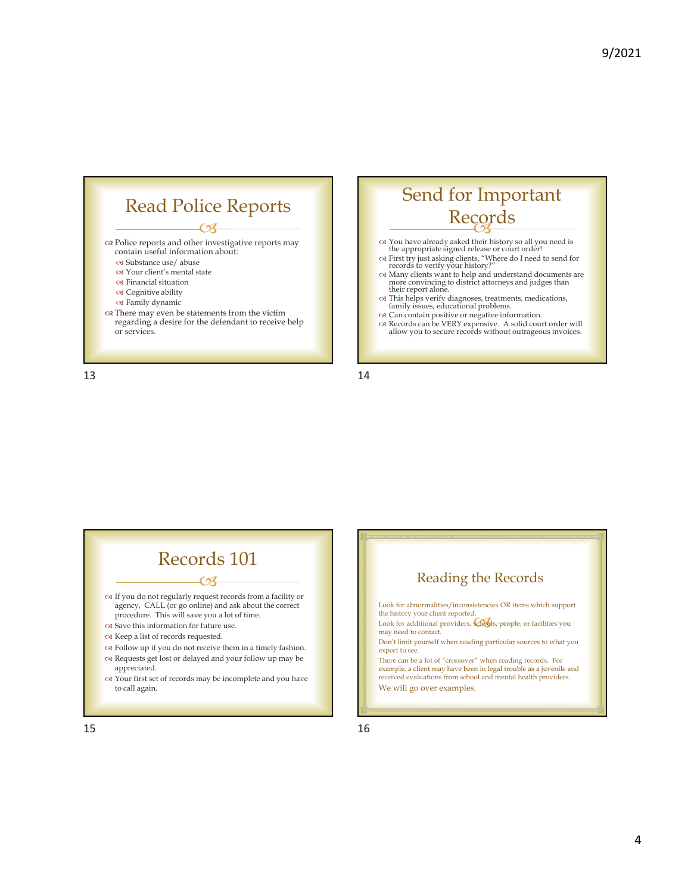





- You have already asked their history so all you need is the appropriate signed release or court order!
- 
- $\propto$  First try just asking clients, "Where do I need to send for records to verify your history?"  $\propto$  Many clients want to help and understand documents are more convincing to district attorneys and judges than their r
- This helps verify diagnoses, treatments, medications, family issues, educational problems.
- Can contain positive or negative information.
- Records can be VERY expensive. A solid court order will allow you to secure records without outrageous invoices.